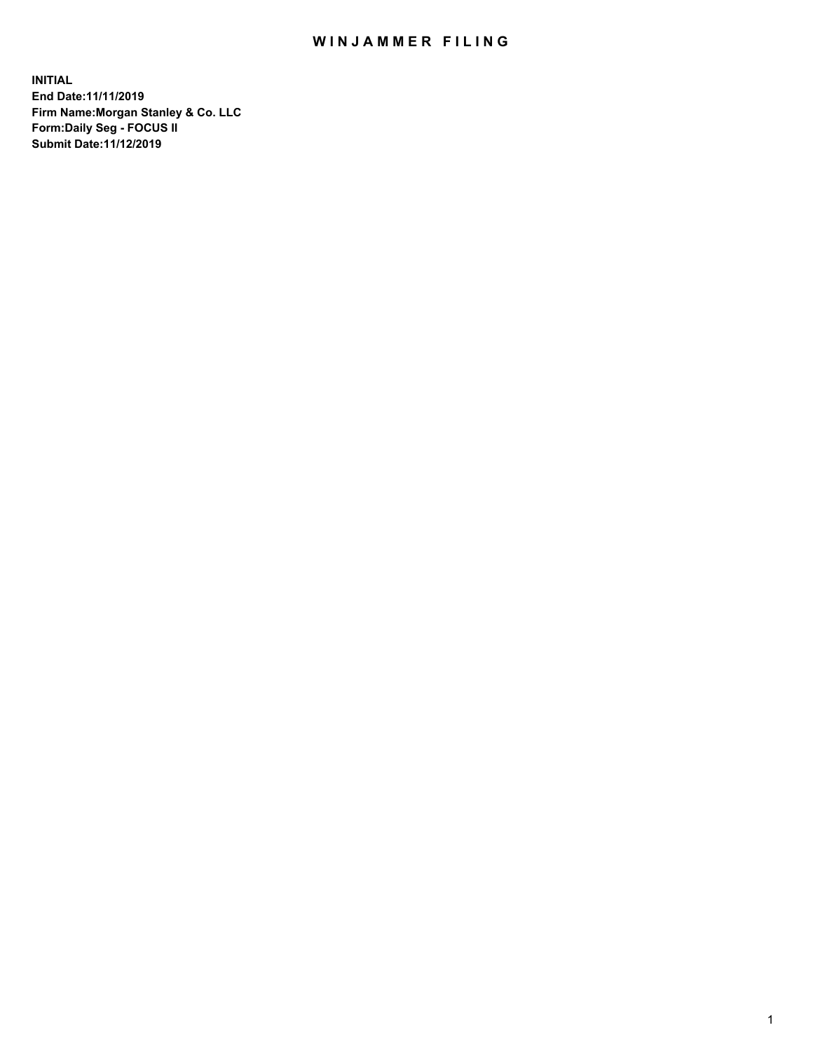## WIN JAMMER FILING

**INITIAL End Date:11/11/2019 Firm Name:Morgan Stanley & Co. LLC Form:Daily Seg - FOCUS II Submit Date:11/12/2019**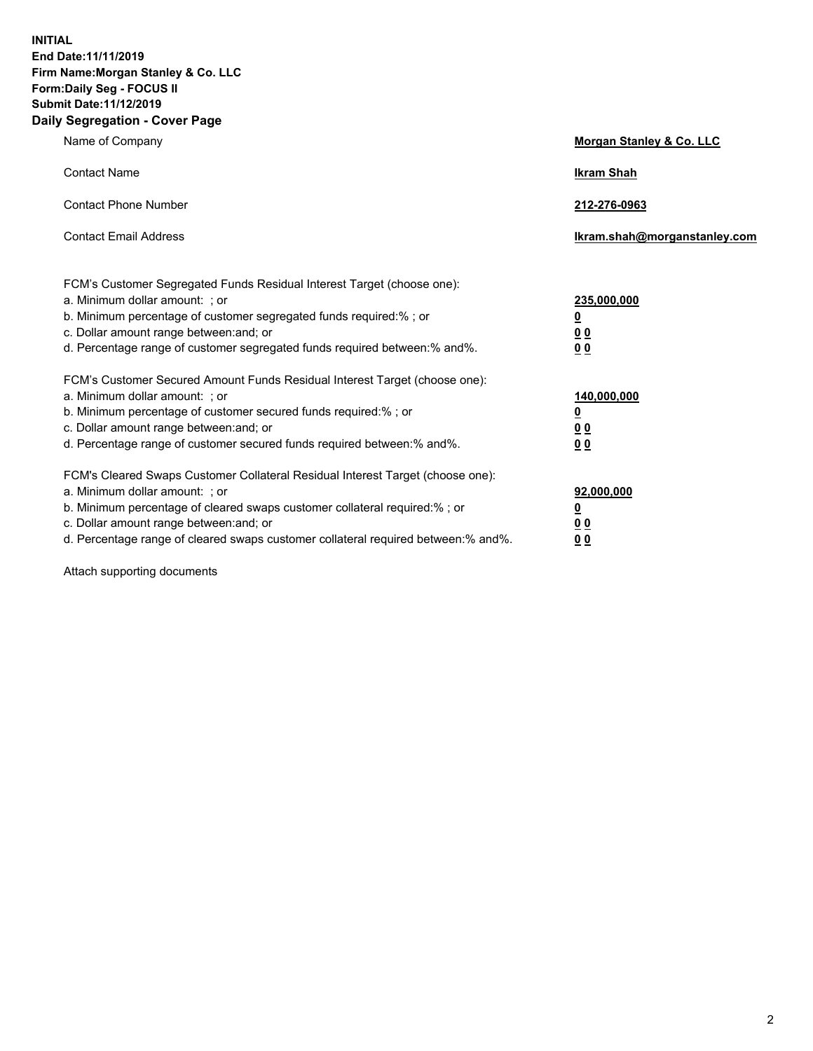**INITIAL End Date:11/11/2019 Firm Name:Morgan Stanley & Co. LLC Form:Daily Seg - FOCUS II Submit Date:11/12/2019 Daily Segregation - Cover Page**

| Name of Company                                                                                                                                                                                                                                                                                                                | Morgan Stanley & Co. LLC                                    |
|--------------------------------------------------------------------------------------------------------------------------------------------------------------------------------------------------------------------------------------------------------------------------------------------------------------------------------|-------------------------------------------------------------|
| <b>Contact Name</b>                                                                                                                                                                                                                                                                                                            | <b>Ikram Shah</b>                                           |
| <b>Contact Phone Number</b>                                                                                                                                                                                                                                                                                                    | 212-276-0963                                                |
| <b>Contact Email Address</b>                                                                                                                                                                                                                                                                                                   | lkram.shah@morganstanley.com                                |
| FCM's Customer Segregated Funds Residual Interest Target (choose one):<br>a. Minimum dollar amount: ; or<br>b. Minimum percentage of customer segregated funds required:% ; or<br>c. Dollar amount range between: and; or<br>d. Percentage range of customer segregated funds required between: % and %.                       | 235,000,000<br><u>0</u><br><u>00</u><br>0 <sup>0</sup>      |
| FCM's Customer Secured Amount Funds Residual Interest Target (choose one):<br>a. Minimum dollar amount: ; or<br>b. Minimum percentage of customer secured funds required:%; or<br>c. Dollar amount range between: and; or<br>d. Percentage range of customer secured funds required between:% and%.                            | 140,000,000<br><u>0</u><br>0 <sub>0</sub><br>0 <sub>0</sub> |
| FCM's Cleared Swaps Customer Collateral Residual Interest Target (choose one):<br>a. Minimum dollar amount: ; or<br>b. Minimum percentage of cleared swaps customer collateral required:% ; or<br>c. Dollar amount range between: and; or<br>d. Percentage range of cleared swaps customer collateral required between:% and%. | 92,000,000<br><u>0</u><br><u>00</u><br>0 <sup>0</sup>       |

Attach supporting documents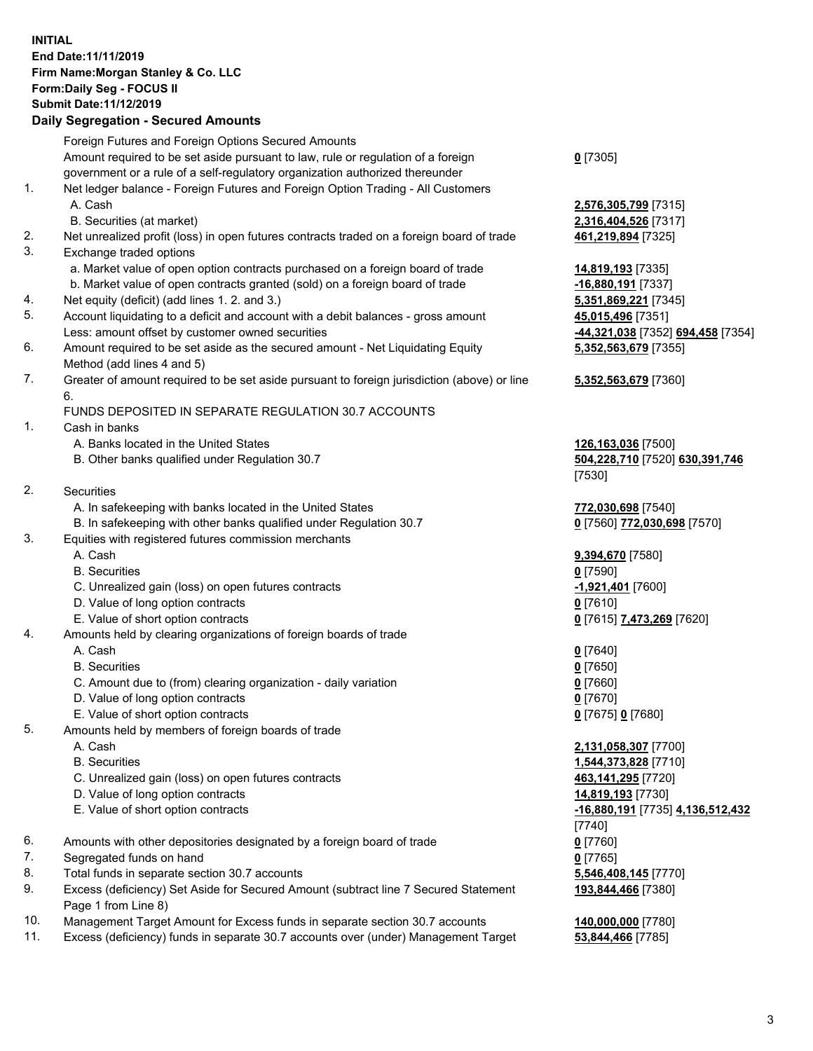## **INITIAL End Date:11/11/2019 Firm Name:Morgan Stanley & Co. LLC Form:Daily Seg - FOCUS II Submit Date:11/12/2019**

## **Daily Segregation - Secured Amounts**

|    | Foreign Futures and Foreign Options Secured Amounts                                         |                                   |
|----|---------------------------------------------------------------------------------------------|-----------------------------------|
|    | Amount required to be set aside pursuant to law, rule or regulation of a foreign            | $0$ [7305]                        |
|    | government or a rule of a self-regulatory organization authorized thereunder                |                                   |
| 1. | Net ledger balance - Foreign Futures and Foreign Option Trading - All Customers             |                                   |
|    | A. Cash                                                                                     | 2,576,305,799 [7315]              |
|    | B. Securities (at market)                                                                   | 2,316,404,526 [7317]              |
| 2. | Net unrealized profit (loss) in open futures contracts traded on a foreign board of trade   | 461,219,894 [7325]                |
| 3. | Exchange traded options                                                                     |                                   |
|    | a. Market value of open option contracts purchased on a foreign board of trade              | 14,819,193 [7335]                 |
|    | b. Market value of open contracts granted (sold) on a foreign board of trade                | -16,880,191 [7337]                |
| 4. | Net equity (deficit) (add lines 1.2. and 3.)                                                | 5,351,869,221 [7345]              |
| 5. | Account liquidating to a deficit and account with a debit balances - gross amount           | 45,015,496 [7351]                 |
|    | Less: amount offset by customer owned securities                                            | -44,321,038 [7352] 694,458 [7354] |
| 6. | Amount required to be set aside as the secured amount - Net Liquidating Equity              | 5,352,563,679 [7355]              |
|    | Method (add lines 4 and 5)                                                                  |                                   |
| 7. | Greater of amount required to be set aside pursuant to foreign jurisdiction (above) or line | 5,352,563,679 [7360]              |
|    | 6.                                                                                          |                                   |
|    | FUNDS DEPOSITED IN SEPARATE REGULATION 30.7 ACCOUNTS                                        |                                   |
| 1. | Cash in banks                                                                               |                                   |
|    | A. Banks located in the United States                                                       | 126,163,036 [7500]                |
|    | B. Other banks qualified under Regulation 30.7                                              | 504,228,710 [7520] 630,391,746    |
|    |                                                                                             | [7530]                            |
| 2. | Securities                                                                                  |                                   |
|    | A. In safekeeping with banks located in the United States                                   | 772,030,698 [7540]                |
|    | B. In safekeeping with other banks qualified under Regulation 30.7                          | 0 [7560] 772,030,698 [7570]       |
| 3. | Equities with registered futures commission merchants                                       |                                   |
|    | A. Cash                                                                                     | 9,394,670 [7580]                  |
|    | <b>B.</b> Securities                                                                        | $0$ [7590]                        |
|    | C. Unrealized gain (loss) on open futures contracts                                         | -1,921,401 [7600]                 |
|    | D. Value of long option contracts                                                           | $0$ [7610]                        |
|    | E. Value of short option contracts                                                          | <u>0</u> [7615] 7,473,269 [7620]  |
| 4. | Amounts held by clearing organizations of foreign boards of trade                           |                                   |
|    | A. Cash                                                                                     | $0$ [7640]                        |
|    | <b>B.</b> Securities                                                                        | $0$ [7650]                        |
|    | C. Amount due to (from) clearing organization - daily variation                             | $0$ [7660]                        |
|    | D. Value of long option contracts                                                           | $0$ [7670]                        |
|    | E. Value of short option contracts                                                          | 0 [7675] 0 [7680]                 |
| 5. | Amounts held by members of foreign boards of trade                                          |                                   |
|    | A. Cash                                                                                     | 2,131,058,307 [7700]              |
|    | <b>B.</b> Securities                                                                        | 1,544,373,828 [7710]              |
|    | C. Unrealized gain (loss) on open futures contracts                                         | 463,141,295 [7720]                |
|    | D. Value of long option contracts                                                           | 14,819,193 [7730]                 |
|    | E. Value of short option contracts                                                          | -16,880,191 [7735] 4,136,512,432  |
|    |                                                                                             | [7740]                            |
| 6. | Amounts with other depositories designated by a foreign board of trade                      | $0$ [7760]                        |
| 7. | Segregated funds on hand                                                                    | $0$ [7765]                        |
| 8. | Total funds in separate section 30.7 accounts                                               | 5,546,408,145 [7770]              |
| 9. | Excess (deficiency) Set Aside for Secured Amount (subtract line 7 Secured Statement         | 193,844,466 [7380]                |
|    | Page 1 from Line 8)                                                                         |                                   |
|    |                                                                                             | $AA$ $AA$ $T$ $T$ $A$ $A$         |

- 10. Management Target Amount for Excess funds in separate section 30.7 accounts **140,000,000** [7780]
- 11. Excess (deficiency) funds in separate 30.7 accounts over (under) Management Target **53,844,466** [7785]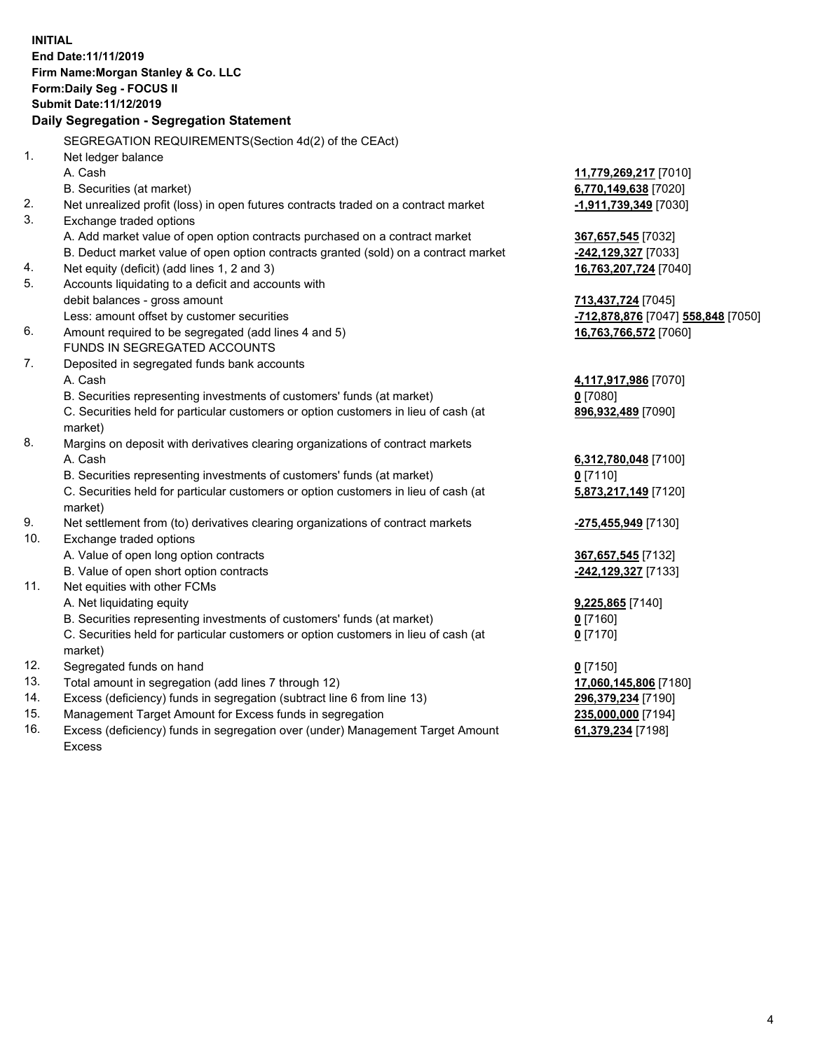|     | <b>INITIAL</b>                                                                                 |                                    |
|-----|------------------------------------------------------------------------------------------------|------------------------------------|
|     | End Date: 11/11/2019                                                                           |                                    |
|     | Firm Name: Morgan Stanley & Co. LLC                                                            |                                    |
|     | Form: Daily Seg - FOCUS II                                                                     |                                    |
|     | <b>Submit Date: 11/12/2019</b>                                                                 |                                    |
|     | Daily Segregation - Segregation Statement                                                      |                                    |
|     | SEGREGATION REQUIREMENTS(Section 4d(2) of the CEAct)                                           |                                    |
| 1.  | Net ledger balance                                                                             |                                    |
|     | A. Cash                                                                                        | 11,779,269,217 [7010]              |
|     | B. Securities (at market)                                                                      | 6,770,149,638 [7020]               |
| 2.  | Net unrealized profit (loss) in open futures contracts traded on a contract market             | -1,911,739,349 [7030]              |
| 3.  | Exchange traded options                                                                        |                                    |
|     | A. Add market value of open option contracts purchased on a contract market                    | 367,657,545 [7032]                 |
|     | B. Deduct market value of open option contracts granted (sold) on a contract market            | -242,129,327 [7033]                |
| 4.  | Net equity (deficit) (add lines 1, 2 and 3)                                                    | 16,763,207,724 [7040]              |
| 5.  | Accounts liquidating to a deficit and accounts with                                            |                                    |
|     | debit balances - gross amount                                                                  | 713,437,724 [7045]                 |
|     | Less: amount offset by customer securities                                                     | -712,878,876 [7047] 558,848 [7050] |
| 6.  | Amount required to be segregated (add lines 4 and 5)                                           | 16,763,766,572 [7060]              |
|     | FUNDS IN SEGREGATED ACCOUNTS                                                                   |                                    |
| 7.  | Deposited in segregated funds bank accounts                                                    |                                    |
|     | A. Cash                                                                                        | 4,117,917,986 [7070]               |
|     | B. Securities representing investments of customers' funds (at market)                         | $0$ [7080]                         |
|     | C. Securities held for particular customers or option customers in lieu of cash (at            | 896,932,489 [7090]                 |
|     | market)                                                                                        |                                    |
| 8.  | Margins on deposit with derivatives clearing organizations of contract markets                 |                                    |
|     | A. Cash                                                                                        | 6,312,780,048 [7100]               |
|     | B. Securities representing investments of customers' funds (at market)                         | $0$ [7110]                         |
|     | C. Securities held for particular customers or option customers in lieu of cash (at<br>market) | 5,873,217,149 [7120]               |
| 9.  | Net settlement from (to) derivatives clearing organizations of contract markets                | <u>-275,455,949</u> [7130]         |
| 10. | Exchange traded options                                                                        |                                    |
|     | A. Value of open long option contracts                                                         | 367,657,545 [7132]                 |
|     | B. Value of open short option contracts                                                        | -242,129,327 [7133]                |
| 11. | Net equities with other FCMs                                                                   |                                    |
|     | A. Net liquidating equity                                                                      | 9,225,865 [7140]                   |
|     | B. Securities representing investments of customers' funds (at market)                         | 0 [7160]                           |
|     | C. Securities held for particular customers or option customers in lieu of cash (at            | $0$ [7170]                         |
|     | market)                                                                                        |                                    |
| 12. | Segregated funds on hand                                                                       | $0$ [7150]                         |
| 13. | Total amount in segregation (add lines 7 through 12)                                           | 17,060,145,806 [7180]              |
| 14. | Excess (deficiency) funds in segregation (subtract line 6 from line 13)                        | 296,379,234 [7190]                 |
| 15. | Management Target Amount for Excess funds in segregation                                       | 235,000,000 [7194]                 |
| 16. | Excess (deficiency) funds in segregation over (under) Management Target Amount                 | 61,379,234 [7198]                  |

Excess